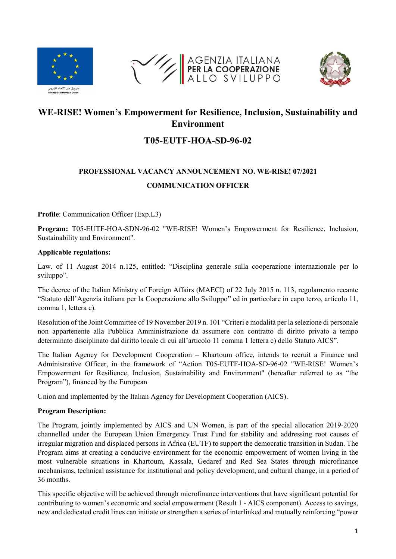





## WE-RISE! Women's Empowerment for Resilience, Inclusion, Sustainability and Environment

## T05-EUTF-HOA-SD-96-02

# PROFESSIONAL VACANCY ANNOUNCEMENT NO. WE-RISE! 07/2021 COMMUNICATION OFFICER

Profile: Communication Officer (Exp.L3)

Program: T05-EUTF-HOA-SDN-96-02 "WE-RISE! Women's Empowerment for Resilience, Inclusion, Sustainability and Environment".

#### Applicable regulations:

Law. of 11 August 2014 n.125, entitled: "Disciplina generale sulla cooperazione internazionale per lo sviluppo".

The decree of the Italian Ministry of Foreign Affairs (MAECI) of 22 July 2015 n. 113, regolamento recante "Statuto dell'Agenzia italiana per la Cooperazione allo Sviluppo" ed in particolare in capo terzo, articolo 11, comma 1, lettera c).

Resolution of the Joint Committee of 19 November 2019 n. 101 "Criteri e modalità per la selezione di personale non appartenente alla Pubblica Amministrazione da assumere con contratto di diritto privato a tempo determinato disciplinato dal diritto locale di cui all'articolo 11 comma 1 lettera c) dello Statuto AICS".

The Italian Agency for Development Cooperation – Khartoum office, intends to recruit a Finance and Administrative Officer, in the framework of "Action T05-EUTF-HOA-SD-96-02 "WE-RISE! Women's Empowerment for Resilience, Inclusion, Sustainability and Environment" (hereafter referred to as "the Program"), financed by the European

Union and implemented by the Italian Agency for Development Cooperation (AICS).

#### Program Description:

The Program, jointly implemented by AICS and UN Women, is part of the special allocation 2019-2020 channelled under the European Union Emergency Trust Fund for stability and addressing root causes of irregular migration and displaced persons in Africa (EUTF) to support the democratic transition in Sudan. The Program aims at creating a conducive environment for the economic empowerment of women living in the most vulnerable situations in Khartoum, Kassala, Gedaref and Red Sea States through microfinance mechanisms, technical assistance for institutional and policy development, and cultural change, in a period of 36 months.

This specific objective will be achieved through microfinance interventions that have significant potential for contributing to women's economic and social empowerment (Result 1 - AICS component). Access to savings, new and dedicated credit lines can initiate or strengthen a series of interlinked and mutually reinforcing "power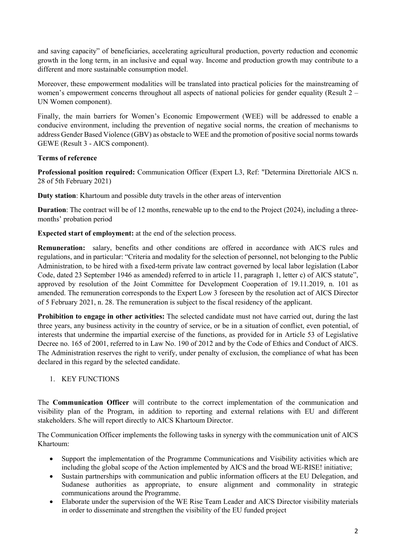and saving capacity" of beneficiaries, accelerating agricultural production, poverty reduction and economic growth in the long term, in an inclusive and equal way. Income and production growth may contribute to a different and more sustainable consumption model.

Moreover, these empowerment modalities will be translated into practical policies for the mainstreaming of women's empowerment concerns throughout all aspects of national policies for gender equality (Result  $2 -$ UN Women component).

Finally, the main barriers for Women's Economic Empowerment (WEE) will be addressed to enable a conducive environment, including the prevention of negative social norms, the creation of mechanisms to address Gender Based Violence (GBV) as obstacle to WEE and the promotion of positive social norms towards GEWE (Result 3 - AICS component).

### Terms of reference

Professional position required: Communication Officer (Expert L3, Ref: "Determina Direttoriale AICS n. 28 of 5th February 2021)

Duty station: Khartoum and possible duty travels in the other areas of intervention

Duration: The contract will be of 12 months, renewable up to the end to the Project (2024), including a threemonths' probation period

Expected start of employment: at the end of the selection process.

Remuneration: salary, benefits and other conditions are offered in accordance with AICS rules and regulations, and in particular: "Criteria and modality for the selection of personnel, not belonging to the Public Administration, to be hired with a fixed-term private law contract governed by local labor legislation (Labor Code, dated 23 September 1946 as amended) referred to in article 11, paragraph 1, letter c) of AICS statute", approved by resolution of the Joint Committee for Development Cooperation of 19.11.2019, n. 101 as amended. The remuneration corresponds to the Expert Low 3 foreseen by the resolution act of AICS Director of 5 February 2021, n. 28. The remuneration is subject to the fiscal residency of the applicant.

Prohibition to engage in other activities: The selected candidate must not have carried out, during the last three years, any business activity in the country of service, or be in a situation of conflict, even potential, of interests that undermine the impartial exercise of the functions, as provided for in Article 53 of Legislative Decree no. 165 of 2001, referred to in Law No. 190 of 2012 and by the Code of Ethics and Conduct of AICS. The Administration reserves the right to verify, under penalty of exclusion, the compliance of what has been declared in this regard by the selected candidate.

#### 1. KEY FUNCTIONS

The Communication Officer will contribute to the correct implementation of the communication and visibility plan of the Program, in addition to reporting and external relations with EU and different stakeholders. S/he will report directly to AICS Khartoum Director.

The Communication Officer implements the following tasks in synergy with the communication unit of AICS Khartoum:

- Support the implementation of the Programme Communications and Visibility activities which are including the global scope of the Action implemented by AICS and the broad WE-RISE! initiative;
- Sustain partnerships with communication and public information officers at the EU Delegation, and Sudanese authorities as appropriate, to ensure alignment and commonality in strategic communications around the Programme.
- Elaborate under the supervision of the WE Rise Team Leader and AICS Director visibility materials in order to disseminate and strengthen the visibility of the EU funded project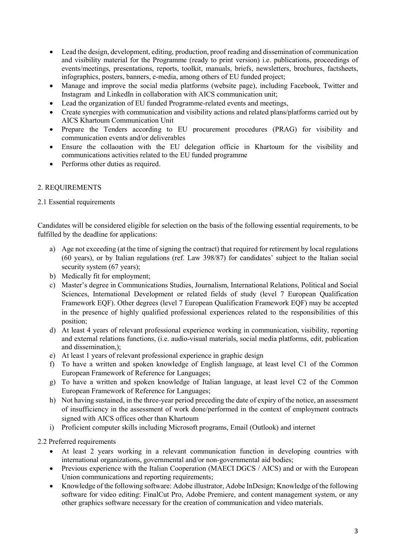- Lead the design, development, editing, production, proof reading and dissemination of communication and visibility material for the Programme (ready to print version) i.e. publications, proceedings of events/meetings, presentations, reports, toolkit, manuals, briefs, newsletters, brochures, factsheets, infographics, posters, banners, e-media, among others of EU funded project;
- Manage and improve the social media platforms (website page), including Facebook, Twitter and Instagram and LinkedIn in collaboration with AICS communication unit;
- Lead the organization of EU funded Programme-related events and meetings,
- Create synergies with communication and visibility actions and related plans/platforms carried out by AICS Khartoum Communication Unit
- Prepare the Tenders according to EU procurement procedures (PRAG) for visibility and communication events and/or deliverables
- Ensure the collaoation with the EU delegation officie in Khartoum for the visibility and communications activities related to the EU funded programme
- Performs other duties as required.

#### 2. REQUIREMENTS

#### 2.1 Essential requirements

Candidates will be considered eligible for selection on the basis of the following essential requirements, to be fulfilled by the deadline for applications:

- a) Age not exceeding (at the time of signing the contract) that required for retirement by local regulations (60 years), or by Italian regulations (ref. Law 398/87) for candidates' subject to the Italian social security system (67 years);
- b) Medically fit for employment;
- c) Master's degree in Communications Studies, Journalism, International Relations, Political and Social Sciences, International Development or related fields of study (level 7 European Qualification Framework EQF). Other degrees (level 7 European Qualification Framework EQF) may be accepted in the presence of highly qualified professional experiences related to the responsibilities of this position;
- d) At least 4 years of relevant professional experience working in communication, visibility, reporting and external relations functions, (i.e. audio-visual materials, social media platforms, edit, publication and dissemination,);
- e) At least 1 years of relevant professional experience in graphic design
- f) To have a written and spoken knowledge of English language, at least level C1 of the Common European Framework of Reference for Languages;
- g) To have a written and spoken knowledge of Italian language, at least level C2 of the Common European Framework of Reference for Languages;
- h) Not having sustained, in the three-year period preceding the date of expiry of the notice, an assessment of insufficiency in the assessment of work done/performed in the context of employment contracts signed with AICS offices other than Khartoum
- i) Proficient computer skills including Microsoft programs, Email (Outlook) and internet

2.2 Preferred requirements

- At least 2 years working in a relevant communication function in developing countries with international organizations, governmental and/or non-governmental aid bodies;
- Previous experience with the Italian Cooperation (MAECI DGCS / AICS) and or with the European Union communications and reporting requirements;
- Knowledge of the following software: Adobe illustrator, Adobe InDesign; Knowledge of the following software for video editing: FinalCut Pro, Adobe Premiere, and content management system, or any other graphics software necessary for the creation of communication and video materials.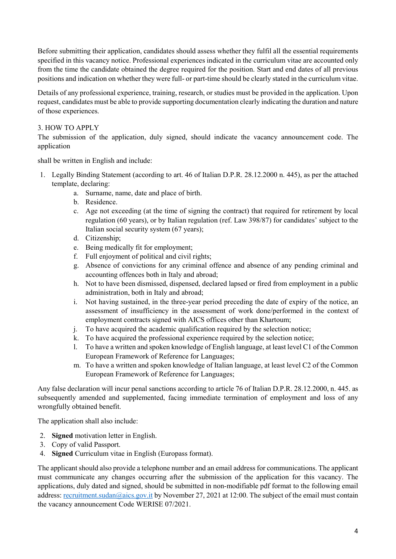Before submitting their application, candidates should assess whether they fulfil all the essential requirements specified in this vacancy notice. Professional experiences indicated in the curriculum vitae are accounted only from the time the candidate obtained the degree required for the position. Start and end dates of all previous positions and indication on whether they were full- or part-time should be clearly stated in the curriculum vitae.

Details of any professional experience, training, research, or studies must be provided in the application. Upon request, candidates must be able to provide supporting documentation clearly indicating the duration and nature of those experiences.

## 3. HOW TO APPLY

The submission of the application, duly signed, should indicate the vacancy announcement code. The application

shall be written in English and include:

- 1. Legally Binding Statement (according to art. 46 of Italian D.P.R. 28.12.2000 n. 445), as per the attached template, declaring:
	- a. Surname, name, date and place of birth.
	- b. Residence.
	- c. Age not exceeding (at the time of signing the contract) that required for retirement by local regulation (60 years), or by Italian regulation (ref. Law 398/87) for candidates' subject to the Italian social security system (67 years);
	- d. Citizenship;
	- e. Being medically fit for employment;
	- f. Full enjoyment of political and civil rights;
	- g. Absence of convictions for any criminal offence and absence of any pending criminal and accounting offences both in Italy and abroad;
	- h. Not to have been dismissed, dispensed, declared lapsed or fired from employment in a public administration, both in Italy and abroad;
	- i. Not having sustained, in the three-year period preceding the date of expiry of the notice, an assessment of insufficiency in the assessment of work done/performed in the context of employment contracts signed with AICS offices other than Khartoum;
	- j. To have acquired the academic qualification required by the selection notice;
	- k. To have acquired the professional experience required by the selection notice;
	- l. To have a written and spoken knowledge of English language, at least level C1 of the Common European Framework of Reference for Languages;
	- m. To have a written and spoken knowledge of Italian language, at least level C2 of the Common European Framework of Reference for Languages;

Any false declaration will incur penal sanctions according to article 76 of Italian D.P.R. 28.12.2000, n. 445. as subsequently amended and supplemented, facing immediate termination of employment and loss of any wrongfully obtained benefit.

The application shall also include:

- 2. Signed motivation letter in English.
- 3. Copy of valid Passport.
- 4. Signed Curriculum vitae in English (Europass format).

The applicant should also provide a telephone number and an email address for communications. The applicant must communicate any changes occurring after the submission of the application for this vacancy. The applications, duly dated and signed, should be submitted in non-modifiable pdf format to the following email address: recruitment.sudan@aics.gov.it by November 27, 2021 at 12:00. The subject of the email must contain the vacancy announcement Code WERISE 07/2021.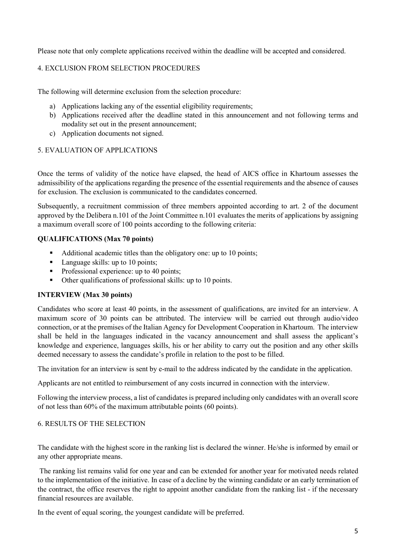Please note that only complete applications received within the deadline will be accepted and considered.

## 4. EXCLUSION FROM SELECTION PROCEDURES

The following will determine exclusion from the selection procedure:

- a) Applications lacking any of the essential eligibility requirements;
- b) Applications received after the deadline stated in this announcement and not following terms and modality set out in the present announcement;
- c) Application documents not signed.

## 5. EVALUATION OF APPLICATIONS

Once the terms of validity of the notice have elapsed, the head of AICS office in Khartoum assesses the admissibility of the applications regarding the presence of the essential requirements and the absence of causes for exclusion. The exclusion is communicated to the candidates concerned.

Subsequently, a recruitment commission of three members appointed according to art. 2 of the document approved by the Delibera n.101 of the Joint Committee n.101 evaluates the merits of applications by assigning a maximum overall score of 100 points according to the following criteria:

### QUALIFICATIONS (Max 70 points)

- Additional academic titles than the obligatory one: up to 10 points;
- Language skills: up to 10 points;
- Professional experience: up to 40 points;
- Other qualifications of professional skills: up to 10 points.

## INTERVIEW (Max 30 points)

Candidates who score at least 40 points, in the assessment of qualifications, are invited for an interview. A maximum score of 30 points can be attributed. The interview will be carried out through audio/video connection, or at the premises of the Italian Agency for Development Cooperation in Khartoum. The interview shall be held in the languages indicated in the vacancy announcement and shall assess the applicant's knowledge and experience, languages skills, his or her ability to carry out the position and any other skills deemed necessary to assess the candidate's profile in relation to the post to be filled.

The invitation for an interview is sent by e-mail to the address indicated by the candidate in the application.

Applicants are not entitled to reimbursement of any costs incurred in connection with the interview.

Following the interview process, a list of candidates is prepared including only candidates with an overall score of not less than 60% of the maximum attributable points (60 points).

#### 6. RESULTS OF THE SELECTION

The candidate with the highest score in the ranking list is declared the winner. He/she is informed by email or any other appropriate means.

 The ranking list remains valid for one year and can be extended for another year for motivated needs related to the implementation of the initiative. In case of a decline by the winning candidate or an early termination of the contract, the office reserves the right to appoint another candidate from the ranking list - if the necessary financial resources are available.

In the event of equal scoring, the youngest candidate will be preferred.